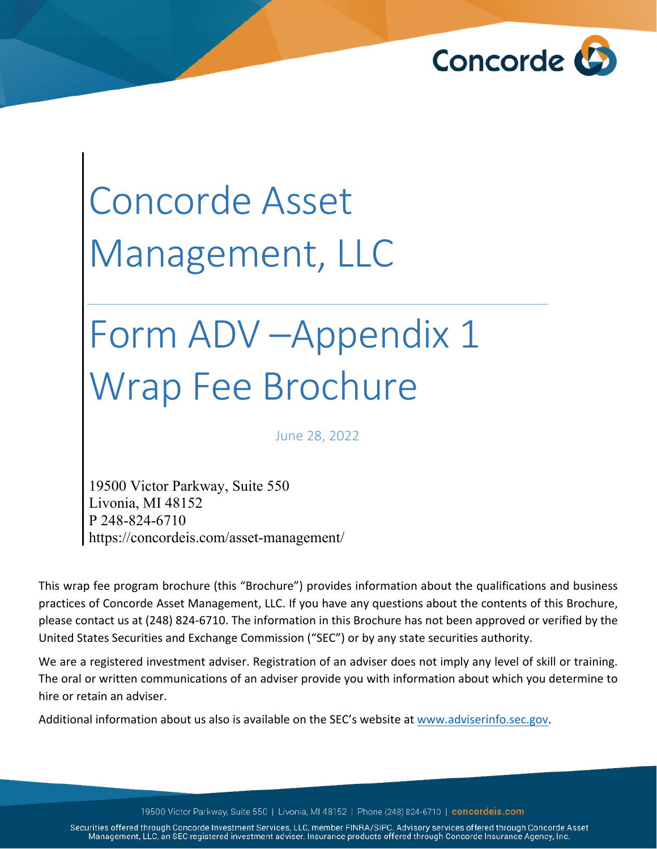

# Concorde Asset Management, LLC

# Form ADV –Appendix 1 Wrap Fee Brochure

June 28, 2022

19500 Victor Parkway, Suite 550 Livonia, MI 48152 P 248-824-6710 https://concordeis.com/asset-management/

This wrap fee program brochure (this "Brochure") provides information about the qualifications and business practices of Concorde Asset Management, LLC. If you have any questions about the contents of this Brochure, please contact us at (248) 824-6710. The information in this Brochure has not been approved or verified by the United States Securities and Exchange Commission ("SEC") or by any state securities authority.

We are a registered investment adviser. Registration of an adviser does not imply any level of skill or training. The oral or written communications of an adviser provide you with information about which you determine to hire or retain an adviser.

Additional information about us also is available on the SEC's website at [www.adviserinfo.sec.gov.](http://www.adviserinfo.sec.gov/)

19500 Victor Parkway, Suite 550 | Livonia, MI 48152 | Phone (248) 824-6710 | concordeis.com

Securities offered through Concorde Investment Services, LLC, member FINRA/SIPC. Advisory services offered through Concorde Asset Management, LLC, an SEC registered investment adviser. Insurance products offered through Concorde Insurance Agency, Inc.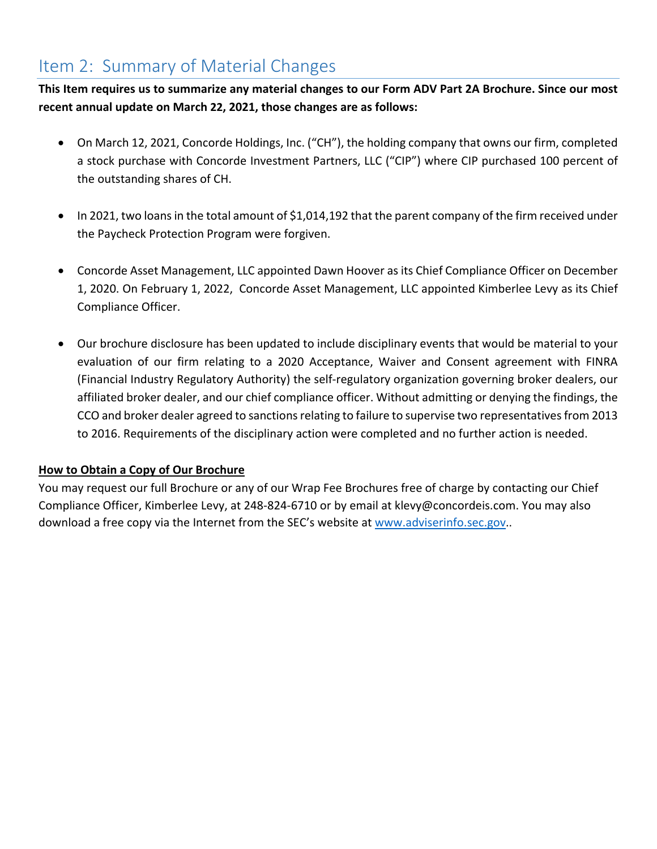# <span id="page-1-0"></span>Item 2: Summary of Material Changes

**This Item requires us to summarize any material changes to our Form ADV Part 2A Brochure. Since our most recent annual update on March 22, 2021, those changes are as follows:** 

- On March 12, 2021, Concorde Holdings, Inc. ("CH"), the holding company that owns our firm, completed a stock purchase with Concorde Investment Partners, LLC ("CIP") where CIP purchased 100 percent of the outstanding shares of CH.
- In 2021, two loans in the total amount of \$1,014,192 that the parent company of the firm received under the Paycheck Protection Program were forgiven.
- Concorde Asset Management, LLC appointed Dawn Hoover as its Chief Compliance Officer on December 1, 2020. On February 1, 2022, Concorde Asset Management, LLC appointed Kimberlee Levy as its Chief Compliance Officer.
- Our brochure disclosure has been updated to include disciplinary events that would be material to your evaluation of our firm relating to a 2020 Acceptance, Waiver and Consent agreement with FINRA (Financial Industry Regulatory Authority) the self-regulatory organization governing broker dealers, our affiliated broker dealer, and our chief compliance officer. Without admitting or denying the findings, the CCO and broker dealer agreed to sanctions relating to failure to supervise two representatives from 2013 to 2016. Requirements of the disciplinary action were completed and no further action is needed.

# **How to Obtain a Copy of Our Brochure**

You may request our full Brochure or any of our Wrap Fee Brochures free of charge by contacting our Chief Compliance Officer, Kimberlee Levy, at 248-824-6710 or by email at klevy@concordeis.com. You may also download a free copy via the Internet from the SEC's website at [www.adviserinfo.sec.gov.](http://www.adviserinfo.sec.gov/).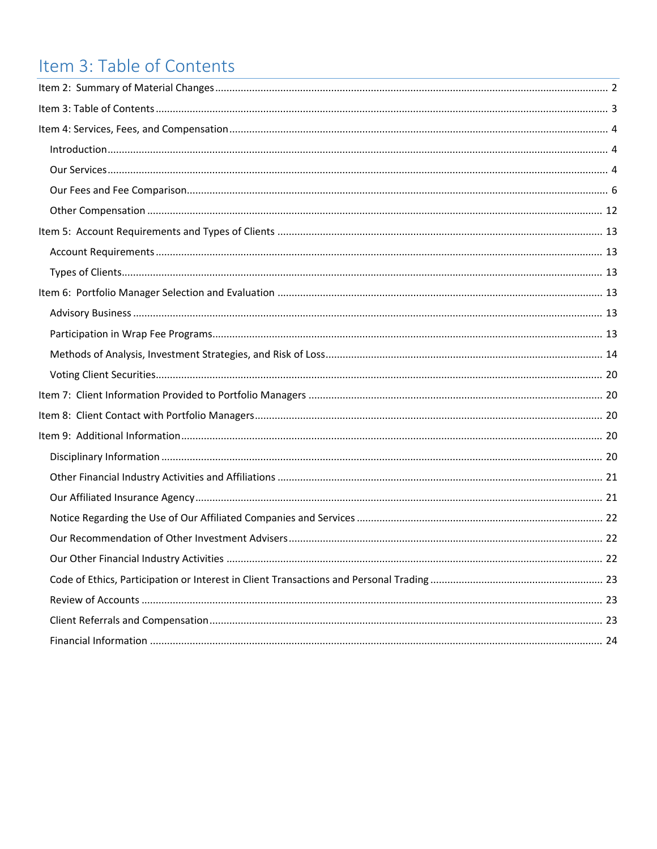# <span id="page-2-0"></span>Item 3: Table of Contents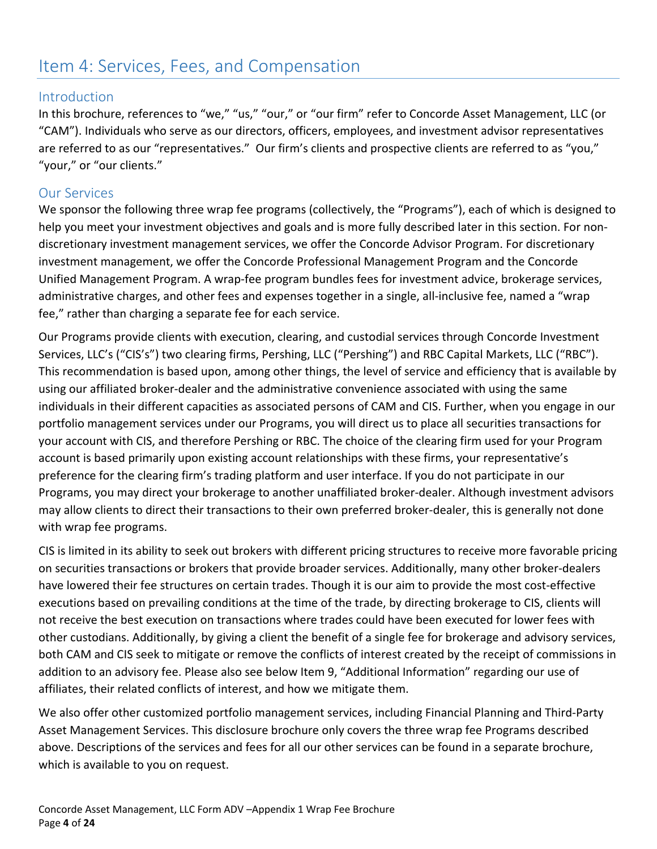# <span id="page-3-0"></span>Item 4: Services, Fees, and Compensation

# <span id="page-3-1"></span>**Introduction**

In this brochure, references to "we," "us," "our," or "our firm" refer to Concorde Asset Management, LLC (or "CAM"). Individuals who serve as our directors, officers, employees, and investment advisor representatives are referred to as our "representatives." Our firm's clients and prospective clients are referred to as "you," "your," or "our clients."

# <span id="page-3-2"></span>Our Services

We sponsor the following three wrap fee programs (collectively, the "Programs"), each of which is designed to help you meet your investment objectives and goals and is more fully described later in this section. For nondiscretionary investment management services, we offer the Concorde Advisor Program. For discretionary investment management, we offer the Concorde Professional Management Program and the Concorde Unified Management Program. A wrap-fee program bundles fees for investment advice, brokerage services, administrative charges, and other fees and expenses together in a single, all-inclusive fee, named a "wrap fee," rather than charging a separate fee for each service.

Our Programs provide clients with execution, clearing, and custodial services through Concorde Investment Services, LLC's ("CIS's") two clearing firms, Pershing, LLC ("Pershing") and RBC Capital Markets, LLC ("RBC"). This recommendation is based upon, among other things, the level of service and efficiency that is available by using our affiliated broker-dealer and the administrative convenience associated with using the same individuals in their different capacities as associated persons of CAM and CIS. Further, when you engage in our portfolio management services under our Programs, you will direct us to place all securities transactions for your account with CIS, and therefore Pershing or RBC. The choice of the clearing firm used for your Program account is based primarily upon existing account relationships with these firms, your representative's preference for the clearing firm's trading platform and user interface. If you do not participate in our Programs, you may direct your brokerage to another unaffiliated broker-dealer. Although investment advisors may allow clients to direct their transactions to their own preferred broker-dealer, this is generally not done with wrap fee programs.

CIS is limited in its ability to seek out brokers with different pricing structures to receive more favorable pricing on securities transactions or brokers that provide broader services. Additionally, many other broker-dealers have lowered their fee structures on certain trades. Though it is our aim to provide the most cost-effective executions based on prevailing conditions at the time of the trade, by directing brokerage to CIS, clients will not receive the best execution on transactions where trades could have been executed for lower fees with other custodians. Additionally, by giving a client the benefit of a single fee for brokerage and advisory services, both CAM and CIS seek to mitigate or remove the conflicts of interest created by the receipt of commissions in addition to an advisory fee. Please also see below Item 9, "Additional Information" regarding our use of affiliates, their related conflicts of interest, and how we mitigate them.

We also offer other customized portfolio management services, including Financial Planning and Third-Party Asset Management Services. This disclosure brochure only covers the three wrap fee Programs described above. Descriptions of the services and fees for all our other services can be found in a separate brochure, which is available to you on request.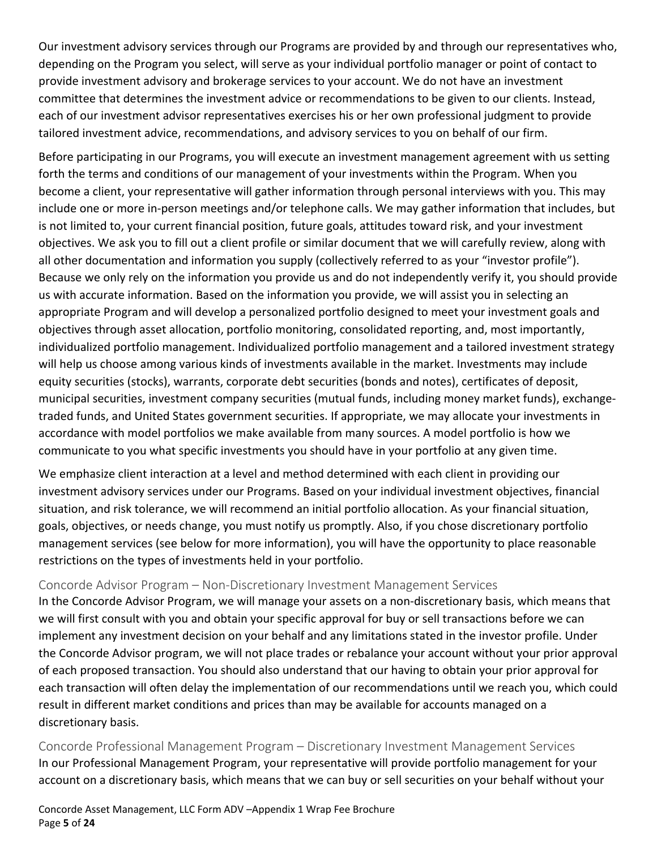Our investment advisory services through our Programs are provided by and through our representatives who, depending on the Program you select, will serve as your individual portfolio manager or point of contact to provide investment advisory and brokerage services to your account. We do not have an investment committee that determines the investment advice or recommendations to be given to our clients. Instead, each of our investment advisor representatives exercises his or her own professional judgment to provide tailored investment advice, recommendations, and advisory services to you on behalf of our firm.

Before participating in our Programs, you will execute an investment management agreement with us setting forth the terms and conditions of our management of your investments within the Program. When you become a client, your representative will gather information through personal interviews with you. This may include one or more in-person meetings and/or telephone calls. We may gather information that includes, but is not limited to, your current financial position, future goals, attitudes toward risk, and your investment objectives. We ask you to fill out a client profile or similar document that we will carefully review, along with all other documentation and information you supply (collectively referred to as your "investor profile"). Because we only rely on the information you provide us and do not independently verify it, you should provide us with accurate information. Based on the information you provide, we will assist you in selecting an appropriate Program and will develop a personalized portfolio designed to meet your investment goals and objectives through asset allocation, portfolio monitoring, consolidated reporting, and, most importantly, individualized portfolio management. Individualized portfolio management and a tailored investment strategy will help us choose among various kinds of investments available in the market. Investments may include equity securities (stocks), warrants, corporate debt securities (bonds and notes), certificates of deposit, municipal securities, investment company securities (mutual funds, including money market funds), exchangetraded funds, and United States government securities. If appropriate, we may allocate your investments in accordance with model portfolios we make available from many sources. A model portfolio is how we communicate to you what specific investments you should have in your portfolio at any given time.

We emphasize client interaction at a level and method determined with each client in providing our investment advisory services under our Programs. Based on your individual investment objectives, financial situation, and risk tolerance, we will recommend an initial portfolio allocation. As your financial situation, goals, objectives, or needs change, you must notify us promptly. Also, if you chose discretionary portfolio management services (see below for more information), you will have the opportunity to place reasonable restrictions on the types of investments held in your portfolio.

#### Concorde Advisor Program – Non-Discretionary Investment Management Services

In the Concorde Advisor Program, we will manage your assets on a non-discretionary basis, which means that we will first consult with you and obtain your specific approval for buy or sell transactions before we can implement any investment decision on your behalf and any limitations stated in the investor profile. Under the Concorde Advisor program, we will not place trades or rebalance your account without your prior approval of each proposed transaction. You should also understand that our having to obtain your prior approval for each transaction will often delay the implementation of our recommendations until we reach you, which could result in different market conditions and prices than may be available for accounts managed on a discretionary basis.

Concorde Professional Management Program – Discretionary Investment Management Services In our Professional Management Program, your representative will provide portfolio management for your account on a discretionary basis, which means that we can buy or sell securities on your behalf without your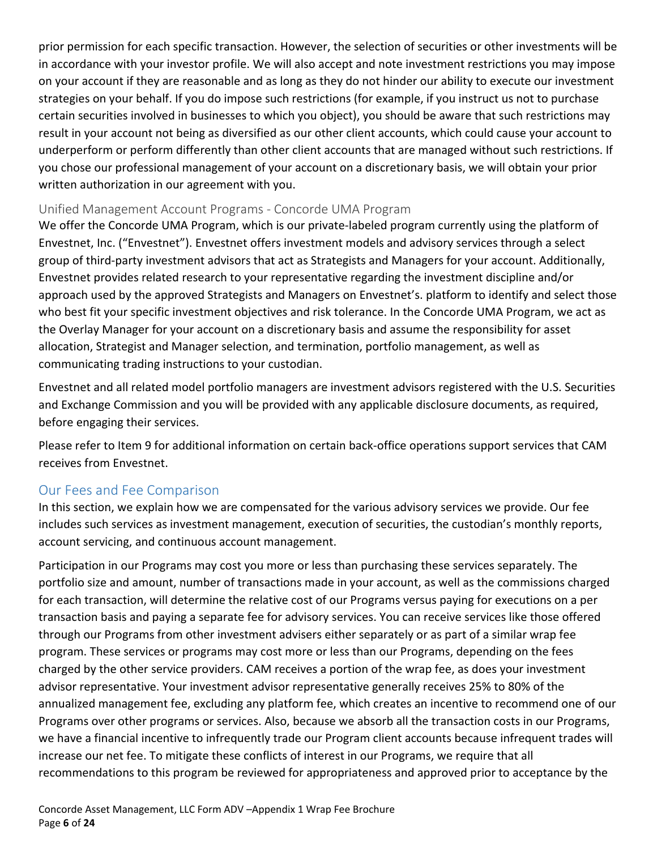prior permission for each specific transaction. However, the selection of securities or other investments will be in accordance with your investor profile. We will also accept and note investment restrictions you may impose on your account if they are reasonable and as long as they do not hinder our ability to execute our investment strategies on your behalf. If you do impose such restrictions (for example, if you instruct us not to purchase certain securities involved in businesses to which you object), you should be aware that such restrictions may result in your account not being as diversified as our other client accounts, which could cause your account to underperform or perform differently than other client accounts that are managed without such restrictions. If you chose our professional management of your account on a discretionary basis, we will obtain your prior written authorization in our agreement with you.

## Unified Management Account Programs - Concorde UMA Program

We offer the Concorde UMA Program, which is our private-labeled program currently using the platform of Envestnet, Inc. ("Envestnet"). Envestnet offers investment models and advisory services through a select group of third-party investment advisors that act as Strategists and Managers for your account. Additionally, Envestnet provides related research to your representative regarding the investment discipline and/or approach used by the approved Strategists and Managers on Envestnet's. platform to identify and select those who best fit your specific investment objectives and risk tolerance. In the Concorde UMA Program, we act as the Overlay Manager for your account on a discretionary basis and assume the responsibility for asset allocation, Strategist and Manager selection, and termination, portfolio management, as well as communicating trading instructions to your custodian.

Envestnet and all related model portfolio managers are investment advisors registered with the U.S. Securities and Exchange Commission and you will be provided with any applicable disclosure documents, as required, before engaging their services.

Please refer to Item 9 for additional information on certain back-office operations support services that CAM receives from Envestnet.

# <span id="page-5-0"></span>Our Fees and Fee Comparison

In this section, we explain how we are compensated for the various advisory services we provide. Our fee includes such services as investment management, execution of securities, the custodian's monthly reports, account servicing, and continuous account management.

Participation in our Programs may cost you more or less than purchasing these services separately. The portfolio size and amount, number of transactions made in your account, as well as the commissions charged for each transaction, will determine the relative cost of our Programs versus paying for executions on a per transaction basis and paying a separate fee for advisory services. You can receive services like those offered through our Programs from other investment advisers either separately or as part of a similar wrap fee program. These services or programs may cost more or less than our Programs, depending on the fees charged by the other service providers. CAM receives a portion of the wrap fee, as does your investment advisor representative. Your investment advisor representative generally receives 25% to 80% of the annualized management fee, excluding any platform fee, which creates an incentive to recommend one of our Programs over other programs or services. Also, because we absorb all the transaction costs in our Programs, we have a financial incentive to infrequently trade our Program client accounts because infrequent trades will increase our net fee. To mitigate these conflicts of interest in our Programs, we require that all recommendations to this program be reviewed for appropriateness and approved prior to acceptance by the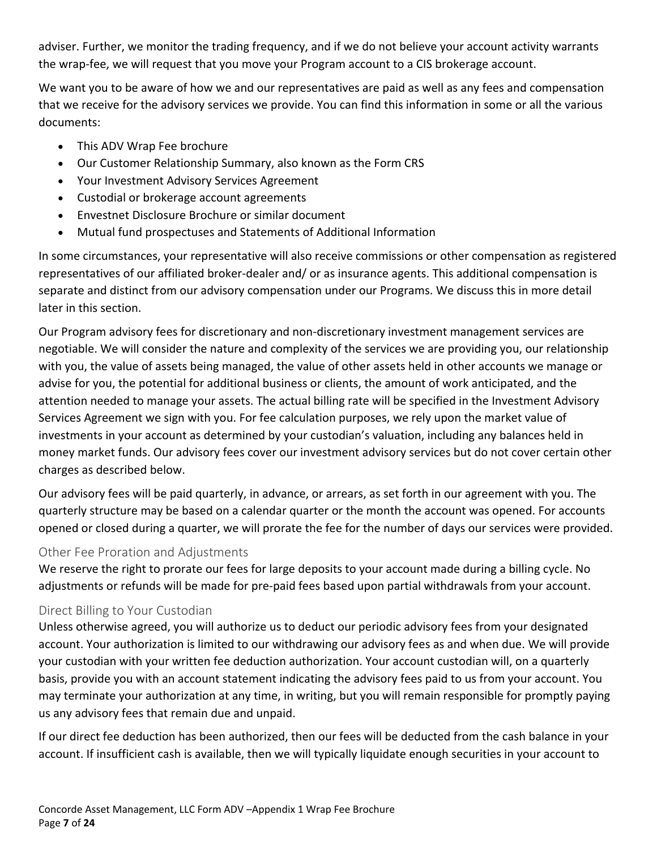adviser. Further, we monitor the trading frequency, and if we do not believe your account activity warrants the wrap-fee, we will request that you move your Program account to a CIS brokerage account.

We want you to be aware of how we and our representatives are paid as well as any fees and compensation that we receive for the advisory services we provide. You can find this information in some or all the various documents:

- This ADV Wrap Fee brochure
- Our Customer Relationship Summary, also known as the Form CRS
- Your Investment Advisory Services Agreement
- Custodial or brokerage account agreements
- Envestnet Disclosure Brochure or similar document
- Mutual fund prospectuses and Statements of Additional Information

In some circumstances, your representative will also receive commissions or other compensation as registered representatives of our affiliated broker-dealer and/ or as insurance agents. This additional compensation is separate and distinct from our advisory compensation under our Programs. We discuss this in more detail later in this section.

Our Program advisory fees for discretionary and non-discretionary investment management services are negotiable. We will consider the nature and complexity of the services we are providing you, our relationship with you, the value of assets being managed, the value of other assets held in other accounts we manage or advise for you, the potential for additional business or clients, the amount of work anticipated, and the attention needed to manage your assets. The actual billing rate will be specified in the Investment Advisory Services Agreement we sign with you. For fee calculation purposes, we rely upon the market value of investments in your account as determined by your custodian's valuation, including any balances held in money market funds. Our advisory fees cover our investment advisory services but do not cover certain other charges as described below.

Our advisory fees will be paid quarterly, in advance, or arrears, as set forth in our agreement with you. The quarterly structure may be based on a calendar quarter or the month the account was opened. For accounts opened or closed during a quarter, we will prorate the fee for the number of days our services were provided.

#### Other Fee Proration and Adjustments

We reserve the right to prorate our fees for large deposits to your account made during a billing cycle. No adjustments or refunds will be made for pre-paid fees based upon partial withdrawals from your account.

# Direct Billing to Your Custodian

Unless otherwise agreed, you will authorize us to deduct our periodic advisory fees from your designated account. Your authorization is limited to our withdrawing our advisory fees as and when due. We will provide your custodian with your written fee deduction authorization. Your account custodian will, on a quarterly basis, provide you with an account statement indicating the advisory fees paid to us from your account. You may terminate your authorization at any time, in writing, but you will remain responsible for promptly paying us any advisory fees that remain due and unpaid.

If our direct fee deduction has been authorized, then our fees will be deducted from the cash balance in your account. If insufficient cash is available, then we will typically liquidate enough securities in your account to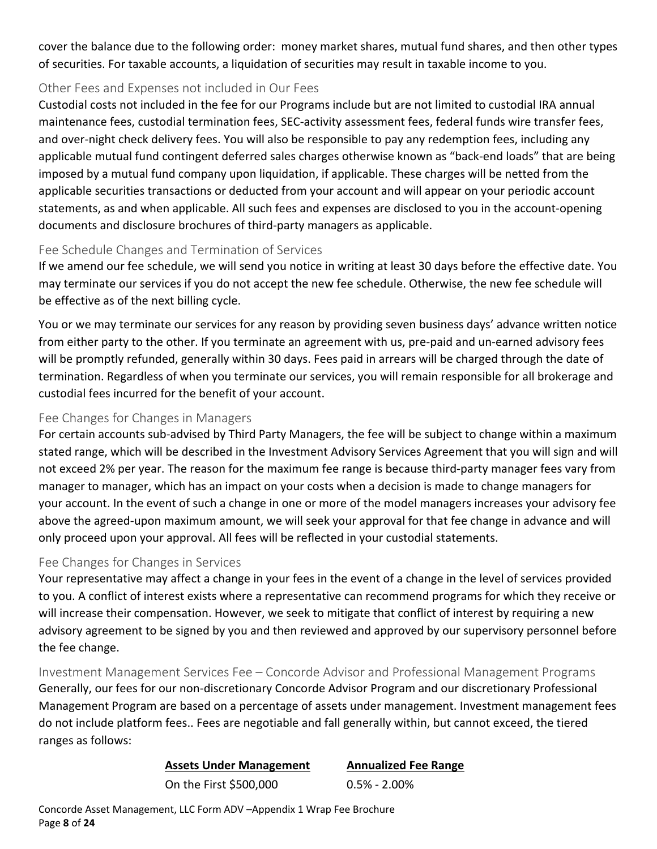cover the balance due to the following order: money market shares, mutual fund shares, and then other types of securities. For taxable accounts, a liquidation of securities may result in taxable income to you.

## Other Fees and Expenses not included in Our Fees

Custodial costs not included in the fee for our Programs include but are not limited to custodial IRA annual maintenance fees, custodial termination fees, SEC-activity assessment fees, federal funds wire transfer fees, and over-night check delivery fees. You will also be responsible to pay any redemption fees, including any applicable mutual fund contingent deferred sales charges otherwise known as "back-end loads" that are being imposed by a mutual fund company upon liquidation, if applicable. These charges will be netted from the applicable securities transactions or deducted from your account and will appear on your periodic account statements, as and when applicable. All such fees and expenses are disclosed to you in the account-opening documents and disclosure brochures of third-party managers as applicable.

# Fee Schedule Changes and Termination of Services

If we amend our fee schedule, we will send you notice in writing at least 30 days before the effective date. You may terminate our services if you do not accept the new fee schedule. Otherwise, the new fee schedule will be effective as of the next billing cycle.

You or we may terminate our services for any reason by providing seven business days' advance written notice from either party to the other. If you terminate an agreement with us, pre-paid and un-earned advisory fees will be promptly refunded, generally within 30 days. Fees paid in arrears will be charged through the date of termination. Regardless of when you terminate our services, you will remain responsible for all brokerage and custodial fees incurred for the benefit of your account.

# Fee Changes for Changes in Managers

For certain accounts sub-advised by Third Party Managers, the fee will be subject to change within a maximum stated range, which will be described in the Investment Advisory Services Agreement that you will sign and will not exceed 2% per year. The reason for the maximum fee range is because third-party manager fees vary from manager to manager, which has an impact on your costs when a decision is made to change managers for your account. In the event of such a change in one or more of the model managers increases your advisory fee above the agreed-upon maximum amount, we will seek your approval for that fee change in advance and will only proceed upon your approval. All fees will be reflected in your custodial statements.

#### Fee Changes for Changes in Services

Your representative may affect a change in your fees in the event of a change in the level of services provided to you. A conflict of interest exists where a representative can recommend programs for which they receive or will increase their compensation. However, we seek to mitigate that conflict of interest by requiring a new advisory agreement to be signed by you and then reviewed and approved by our supervisory personnel before the fee change.

Investment Management Services Fee – Concorde Advisor and Professional Management Programs Generally, our fees for our non-discretionary Concorde Advisor Program and our discretionary Professional Management Program are based on a percentage of assets under management. Investment management fees do not include platform fees.. Fees are negotiable and fall generally within, but cannot exceed, the tiered ranges as follows:

#### **Assets Under Management Annualized Fee Range**

On the First \$500,000 0.5% - 2.00%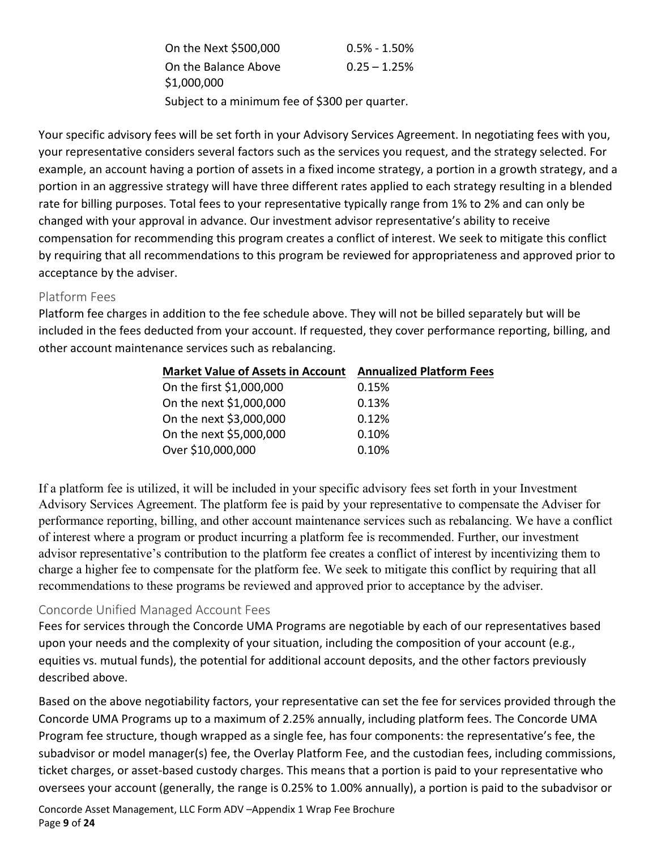| On the Next \$500,000                          | $0.5\% - 1.50\%$ |  |
|------------------------------------------------|------------------|--|
| On the Balance Above                           | $0.25 - 1.25%$   |  |
| \$1,000,000                                    |                  |  |
| Subject to a minimum fee of \$300 per quarter. |                  |  |

Your specific advisory fees will be set forth in your Advisory Services Agreement. In negotiating fees with you, your representative considers several factors such as the services you request, and the strategy selected. For example, an account having a portion of assets in a fixed income strategy, a portion in a growth strategy, and a portion in an aggressive strategy will have three different rates applied to each strategy resulting in a blended rate for billing purposes. Total fees to your representative typically range from 1% to 2% and can only be changed with your approval in advance. Our investment advisor representative's ability to receive compensation for recommending this program creates a conflict of interest. We seek to mitigate this conflict by requiring that all recommendations to this program be reviewed for appropriateness and approved prior to acceptance by the adviser.

#### Platform Fees

Platform fee charges in addition to the fee schedule above. They will not be billed separately but will be included in the fees deducted from your account. If requested, they cover performance reporting, billing, and other account maintenance services such as rebalancing.

| <b>Market Value of Assets in Account</b> | <b>Annualized Platform Fees</b> |
|------------------------------------------|---------------------------------|
| On the first \$1,000,000                 | 0.15%                           |
| On the next \$1,000,000                  | 0.13%                           |
| On the next \$3,000,000                  | 0.12%                           |
| On the next \$5,000,000                  | 0.10%                           |
| Over \$10,000,000                        | 0.10%                           |

If a platform fee is utilized, it will be included in your specific advisory fees set forth in your Investment Advisory Services Agreement. The platform fee is paid by your representative to compensate the Adviser for performance reporting, billing, and other account maintenance services such as rebalancing. We have a conflict of interest where a program or product incurring a platform fee is recommended. Further, our investment advisor representative's contribution to the platform fee creates a conflict of interest by incentivizing them to charge a higher fee to compensate for the platform fee. We seek to mitigate this conflict by requiring that all recommendations to these programs be reviewed and approved prior to acceptance by the adviser.

# Concorde Unified Managed Account Fees

Fees for services through the Concorde UMA Programs are negotiable by each of our representatives based upon your needs and the complexity of your situation, including the composition of your account (e.g., equities vs. mutual funds), the potential for additional account deposits, and the other factors previously described above.

Based on the above negotiability factors, your representative can set the fee for services provided through the Concorde UMA Programs up to a maximum of 2.25% annually, including platform fees. The Concorde UMA Program fee structure, though wrapped as a single fee, has four components: the representative's fee, the subadvisor or model manager(s) fee, the Overlay Platform Fee, and the custodian fees, including commissions, ticket charges, or asset-based custody charges. This means that a portion is paid to your representative who oversees your account (generally, the range is 0.25% to 1.00% annually), a portion is paid to the subadvisor or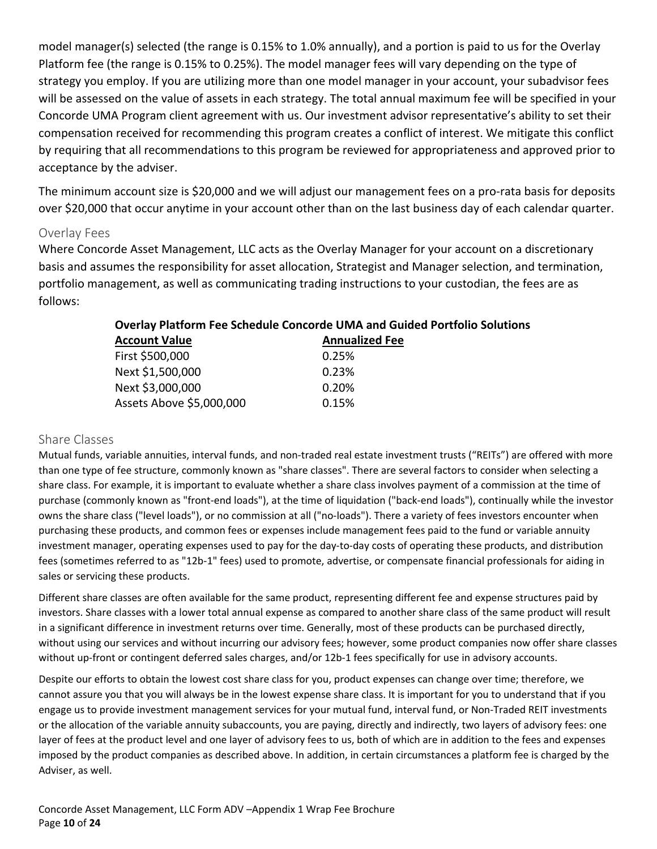model manager(s) selected (the range is 0.15% to 1.0% annually), and a portion is paid to us for the Overlay Platform fee (the range is 0.15% to 0.25%). The model manager fees will vary depending on the type of strategy you employ. If you are utilizing more than one model manager in your account, your subadvisor fees will be assessed on the value of assets in each strategy. The total annual maximum fee will be specified in your Concorde UMA Program client agreement with us. Our investment advisor representative's ability to set their compensation received for recommending this program creates a conflict of interest. We mitigate this conflict by requiring that all recommendations to this program be reviewed for appropriateness and approved prior to acceptance by the adviser.

The minimum account size is \$20,000 and we will adjust our management fees on a pro-rata basis for deposits over \$20,000 that occur anytime in your account other than on the last business day of each calendar quarter.

#### Overlay Fees

Where Concorde Asset Management, LLC acts as the Overlay Manager for your account on a discretionary basis and assumes the responsibility for asset allocation, Strategist and Manager selection, and termination, portfolio management, as well as communicating trading instructions to your custodian, the fees are as follows:

| Overlay Platform Fee Schedule Concorde UMA and Guided Portfoll |                       |  |
|----------------------------------------------------------------|-----------------------|--|
| <b>Account Value</b>                                           | <b>Annualized Fee</b> |  |
| First \$500,000                                                | 0.25%                 |  |
| Next \$1,500,000                                               | 0.23%                 |  |
| Next \$3,000,000                                               | 0.20%                 |  |
| Assets Above \$5,000,000                                       | 0.15%                 |  |
|                                                                |                       |  |

# **Overlay Platform Fee Schedule Concorde UMA and Guided Portfolio Solutions**

#### Share Classes

Mutual funds, variable annuities, interval funds, and non-traded real estate investment trusts ("REITs") are offered with more than one type of fee structure, commonly known as "share classes". There are several factors to consider when selecting a share class. For example, it is important to evaluate whether a share class involves payment of a commission at the time of purchase (commonly known as "front-end loads"), at the time of liquidation ("back-end loads"), continually while the investor owns the share class ("level loads"), or no commission at all ("no-loads"). There a variety of fees investors encounter when purchasing these products, and common fees or expenses include management fees paid to the fund or variable annuity investment manager, operating expenses used to pay for the day-to-day costs of operating these products, and distribution fees (sometimes referred to as "12b-1" fees) used to promote, advertise, or compensate financial professionals for aiding in sales or servicing these products.

Different share classes are often available for the same product, representing different fee and expense structures paid by investors. Share classes with a lower total annual expense as compared to another share class of the same product will result in a significant difference in investment returns over time. Generally, most of these products can be purchased directly, without using our services and without incurring our advisory fees; however, some product companies now offer share classes without up-front or contingent deferred sales charges, and/or 12b-1 fees specifically for use in advisory accounts.

Despite our efforts to obtain the lowest cost share class for you, product expenses can change over time; therefore, we cannot assure you that you will always be in the lowest expense share class. It is important for you to understand that if you engage us to provide investment management services for your mutual fund, interval fund, or Non-Traded REIT investments or the allocation of the variable annuity subaccounts, you are paying, directly and indirectly, two layers of advisory fees: one layer of fees at the product level and one layer of advisory fees to us, both of which are in addition to the fees and expenses imposed by the product companies as described above. In addition, in certain circumstances a platform fee is charged by the Adviser, as well.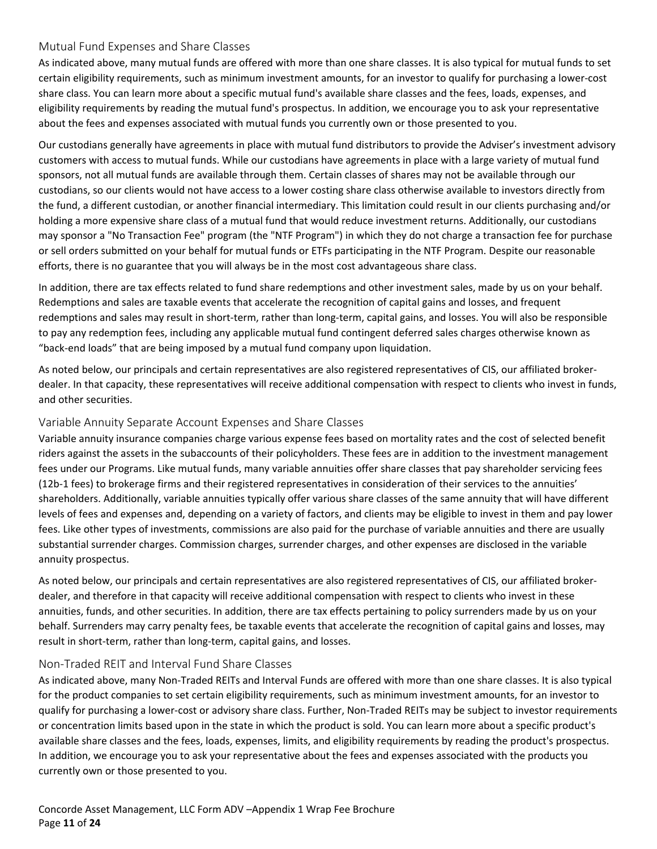#### Mutual Fund Expenses and Share Classes

As indicated above, many mutual funds are offered with more than one share classes. It is also typical for mutual funds to set certain eligibility requirements, such as minimum investment amounts, for an investor to qualify for purchasing a lower-cost share class. You can learn more about a specific mutual fund's available share classes and the fees, loads, expenses, and eligibility requirements by reading the mutual fund's prospectus. In addition, we encourage you to ask your representative about the fees and expenses associated with mutual funds you currently own or those presented to you.

Our custodians generally have agreements in place with mutual fund distributors to provide the Adviser's investment advisory customers with access to mutual funds. While our custodians have agreements in place with a large variety of mutual fund sponsors, not all mutual funds are available through them. Certain classes of shares may not be available through our custodians, so our clients would not have access to a lower costing share class otherwise available to investors directly from the fund, a different custodian, or another financial intermediary. This limitation could result in our clients purchasing and/or holding a more expensive share class of a mutual fund that would reduce investment returns. Additionally, our custodians may sponsor a "No Transaction Fee" program (the "NTF Program") in which they do not charge a transaction fee for purchase or sell orders submitted on your behalf for mutual funds or ETFs participating in the NTF Program. Despite our reasonable efforts, there is no guarantee that you will always be in the most cost advantageous share class.

In addition, there are tax effects related to fund share redemptions and other investment sales, made by us on your behalf. Redemptions and sales are taxable events that accelerate the recognition of capital gains and losses, and frequent redemptions and sales may result in short-term, rather than long-term, capital gains, and losses. You will also be responsible to pay any redemption fees, including any applicable mutual fund contingent deferred sales charges otherwise known as "back-end loads" that are being imposed by a mutual fund company upon liquidation.

As noted below, our principals and certain representatives are also registered representatives of CIS, our affiliated brokerdealer. In that capacity, these representatives will receive additional compensation with respect to clients who invest in funds, and other securities.

#### Variable Annuity Separate Account Expenses and Share Classes

Variable annuity insurance companies charge various expense fees based on mortality rates and the cost of selected benefit riders against the assets in the subaccounts of their policyholders. These fees are in addition to the investment management fees under our Programs. Like mutual funds, many variable annuities offer share classes that pay shareholder servicing fees (12b-1 fees) to brokerage firms and their registered representatives in consideration of their services to the annuities' shareholders. Additionally, variable annuities typically offer various share classes of the same annuity that will have different levels of fees and expenses and, depending on a variety of factors, and clients may be eligible to invest in them and pay lower fees. Like other types of investments, commissions are also paid for the purchase of variable annuities and there are usually substantial surrender charges. Commission charges, surrender charges, and other expenses are disclosed in the variable annuity prospectus.

As noted below, our principals and certain representatives are also registered representatives of CIS, our affiliated brokerdealer, and therefore in that capacity will receive additional compensation with respect to clients who invest in these annuities, funds, and other securities. In addition, there are tax effects pertaining to policy surrenders made by us on your behalf. Surrenders may carry penalty fees, be taxable events that accelerate the recognition of capital gains and losses, may result in short-term, rather than long-term, capital gains, and losses.

#### Non-Traded REIT and Interval Fund Share Classes

As indicated above, many Non-Traded REITs and Interval Funds are offered with more than one share classes. It is also typical for the product companies to set certain eligibility requirements, such as minimum investment amounts, for an investor to qualify for purchasing a lower-cost or advisory share class. Further, Non-Traded REITs may be subject to investor requirements or concentration limits based upon in the state in which the product is sold. You can learn more about a specific product's available share classes and the fees, loads, expenses, limits, and eligibility requirements by reading the product's prospectus. In addition, we encourage you to ask your representative about the fees and expenses associated with the products you currently own or those presented to you.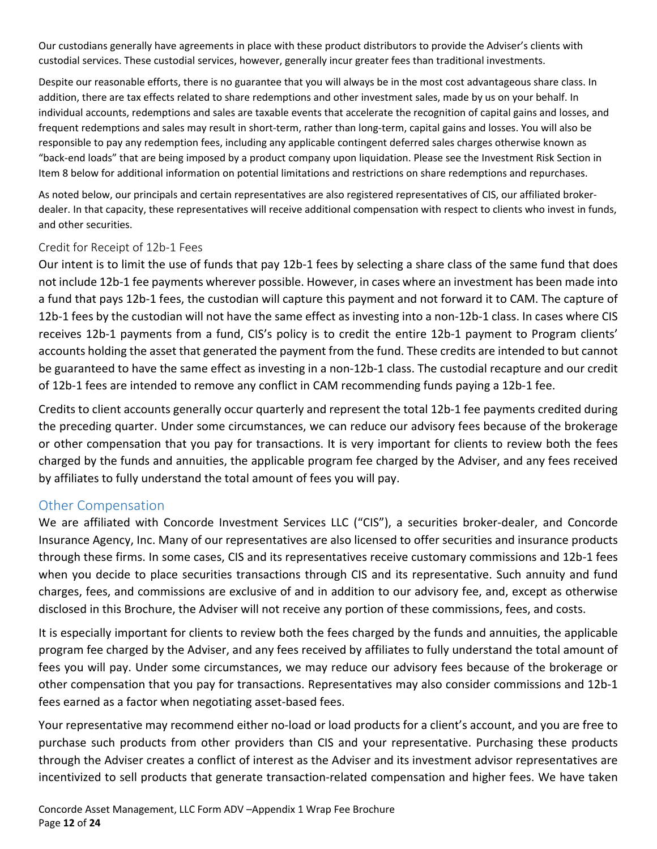Our custodians generally have agreements in place with these product distributors to provide the Adviser's clients with custodial services. These custodial services, however, generally incur greater fees than traditional investments.

Despite our reasonable efforts, there is no guarantee that you will always be in the most cost advantageous share class. In addition, there are tax effects related to share redemptions and other investment sales, made by us on your behalf. In individual accounts, redemptions and sales are taxable events that accelerate the recognition of capital gains and losses, and frequent redemptions and sales may result in short-term, rather than long-term, capital gains and losses. You will also be responsible to pay any redemption fees, including any applicable contingent deferred sales charges otherwise known as "back-end loads" that are being imposed by a product company upon liquidation. Please see the Investment Risk Section in Item 8 below for additional information on potential limitations and restrictions on share redemptions and repurchases.

As noted below, our principals and certain representatives are also registered representatives of CIS, our affiliated brokerdealer. In that capacity, these representatives will receive additional compensation with respect to clients who invest in funds, and other securities.

#### Credit for Receipt of 12b-1 Fees

Our intent is to limit the use of funds that pay 12b-1 fees by selecting a share class of the same fund that does not include 12b-1 fee payments wherever possible. However, in cases where an investment has been made into a fund that pays 12b-1 fees, the custodian will capture this payment and not forward it to CAM. The capture of 12b-1 fees by the custodian will not have the same effect as investing into a non-12b-1 class. In cases where CIS receives 12b-1 payments from a fund, CIS's policy is to credit the entire 12b-1 payment to Program clients' accounts holding the asset that generated the payment from the fund. These credits are intended to but cannot be guaranteed to have the same effect as investing in a non-12b-1 class. The custodial recapture and our credit of 12b-1 fees are intended to remove any conflict in CAM recommending funds paying a 12b-1 fee.

Credits to client accounts generally occur quarterly and represent the total 12b-1 fee payments credited during the preceding quarter. Under some circumstances, we can reduce our advisory fees because of the brokerage or other compensation that you pay for transactions. It is very important for clients to review both the fees charged by the funds and annuities, the applicable program fee charged by the Adviser, and any fees received by affiliates to fully understand the total amount of fees you will pay.

#### <span id="page-11-0"></span>Other Compensation

We are affiliated with Concorde Investment Services LLC ("CIS"), a securities broker-dealer, and Concorde Insurance Agency, Inc. Many of our representatives are also licensed to offer securities and insurance products through these firms. In some cases, CIS and its representatives receive customary commissions and 12b-1 fees when you decide to place securities transactions through CIS and its representative. Such annuity and fund charges, fees, and commissions are exclusive of and in addition to our advisory fee, and, except as otherwise disclosed in this Brochure, the Adviser will not receive any portion of these commissions, fees, and costs.

It is especially important for clients to review both the fees charged by the funds and annuities, the applicable program fee charged by the Adviser, and any fees received by affiliates to fully understand the total amount of fees you will pay. Under some circumstances, we may reduce our advisory fees because of the brokerage or other compensation that you pay for transactions. Representatives may also consider commissions and 12b-1 fees earned as a factor when negotiating asset-based fees.

Your representative may recommend either no-load or load products for a client's account, and you are free to purchase such products from other providers than CIS and your representative. Purchasing these products through the Adviser creates a conflict of interest as the Adviser and its investment advisor representatives are incentivized to sell products that generate transaction-related compensation and higher fees. We have taken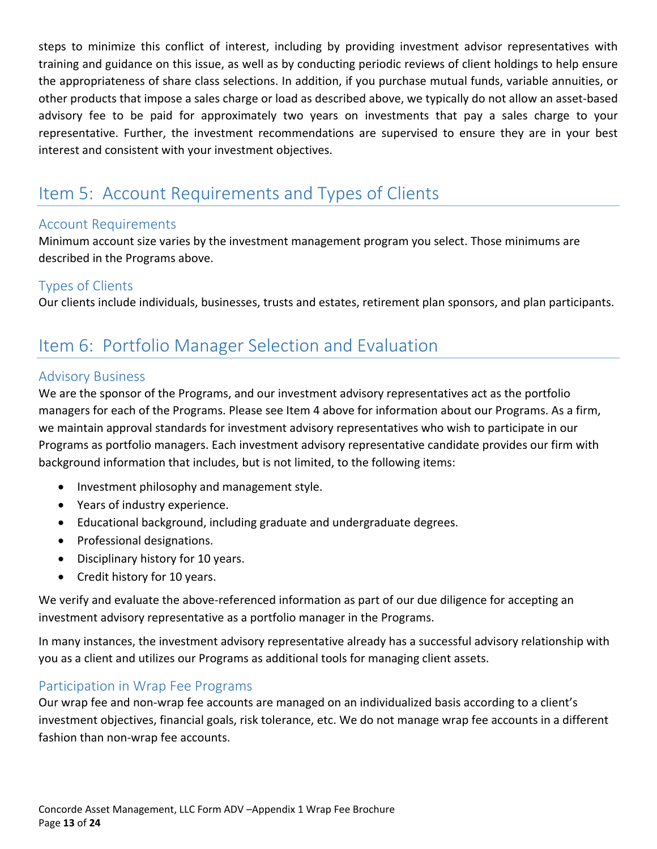steps to minimize this conflict of interest, including by providing investment advisor representatives with training and guidance on this issue, as well as by conducting periodic reviews of client holdings to help ensure the appropriateness of share class selections. In addition, if you purchase mutual funds, variable annuities, or other products that impose a sales charge or load as described above, we typically do not allow an asset-based advisory fee to be paid for approximately two years on investments that pay a sales charge to your representative. Further, the investment recommendations are supervised to ensure they are in your best interest and consistent with your investment objectives.

# <span id="page-12-0"></span>Item 5: Account Requirements and Types of Clients

# <span id="page-12-1"></span>Account Requirements

Minimum account size varies by the investment management program you select. Those minimums are described in the Programs above.

# <span id="page-12-2"></span>Types of Clients

Our clients include individuals, businesses, trusts and estates, retirement plan sponsors, and plan participants.

# <span id="page-12-3"></span>Item 6: Portfolio Manager Selection and Evaluation

## <span id="page-12-4"></span>Advisory Business

We are the sponsor of the Programs, and our investment advisory representatives act as the portfolio managers for each of the Programs. Please see Item 4 above for information about our Programs. As a firm, we maintain approval standards for investment advisory representatives who wish to participate in our Programs as portfolio managers. Each investment advisory representative candidate provides our firm with background information that includes, but is not limited, to the following items:

- Investment philosophy and management style.
- Years of industry experience.
- Educational background, including graduate and undergraduate degrees.
- Professional designations.
- Disciplinary history for 10 years.
- Credit history for 10 years.

We verify and evaluate the above-referenced information as part of our due diligence for accepting an investment advisory representative as a portfolio manager in the Programs.

In many instances, the investment advisory representative already has a successful advisory relationship with you as a client and utilizes our Programs as additional tools for managing client assets.

# <span id="page-12-5"></span>Participation in Wrap Fee Programs

Our wrap fee and non-wrap fee accounts are managed on an individualized basis according to a client's investment objectives, financial goals, risk tolerance, etc. We do not manage wrap fee accounts in a different fashion than non-wrap fee accounts.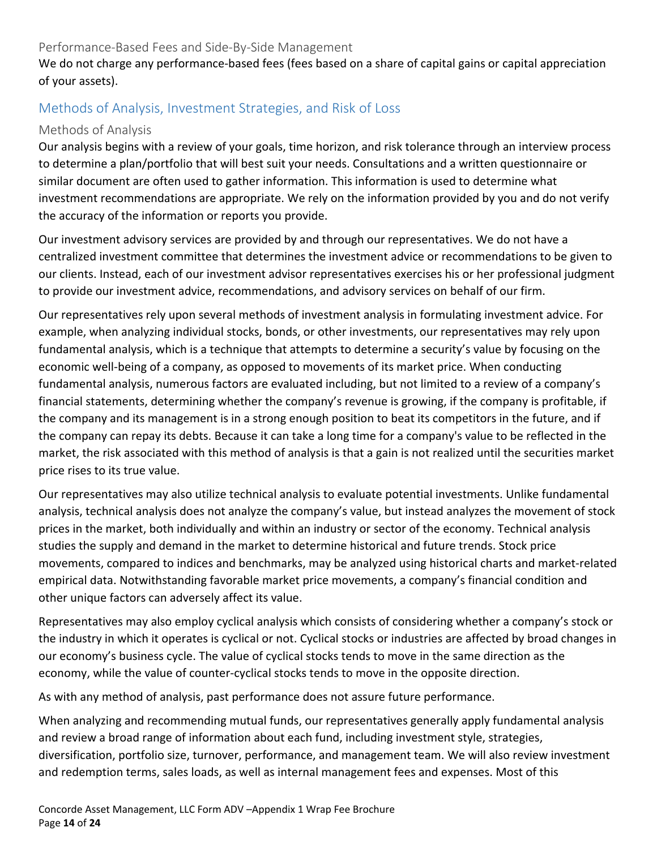### Performance-Based Fees and Side-By-Side Management

We do not charge any performance-based fees (fees based on a share of capital gains or capital appreciation of your assets).

# <span id="page-13-0"></span>Methods of Analysis, Investment Strategies, and Risk of Loss

### Methods of Analysis

Our analysis begins with a review of your goals, time horizon, and risk tolerance through an interview process to determine a plan/portfolio that will best suit your needs. Consultations and a written questionnaire or similar document are often used to gather information. This information is used to determine what investment recommendations are appropriate. We rely on the information provided by you and do not verify the accuracy of the information or reports you provide.

Our investment advisory services are provided by and through our representatives. We do not have a centralized investment committee that determines the investment advice or recommendations to be given to our clients. Instead, each of our investment advisor representatives exercises his or her professional judgment to provide our investment advice, recommendations, and advisory services on behalf of our firm.

Our representatives rely upon several methods of investment analysis in formulating investment advice. For example, when analyzing individual stocks, bonds, or other investments, our representatives may rely upon fundamental analysis, which is a technique that attempts to determine a security's value by focusing on the economic well-being of a company, as opposed to movements of its market price. When conducting fundamental analysis, numerous factors are evaluated including, but not limited to a review of a company's financial statements, determining whether the company's revenue is growing, if the company is profitable, if the company and its management is in a strong enough position to beat its competitors in the future, and if the company can repay its debts. Because it can take a long time for a company's value to be reflected in the market, the risk associated with this method of analysis is that a gain is not realized until the securities market price rises to its true value.

Our representatives may also utilize technical analysis to evaluate potential investments. Unlike fundamental analysis, technical analysis does not analyze the company's value, but instead analyzes the movement of stock prices in the market, both individually and within an industry or sector of the economy. Technical analysis studies the supply and demand in the market to determine historical and future trends. Stock price movements, compared to indices and benchmarks, may be analyzed using historical charts and market-related empirical data. Notwithstanding favorable market price movements, a company's financial condition and other unique factors can adversely affect its value.

Representatives may also employ cyclical analysis which consists of considering whether a company's stock or the industry in which it operates is cyclical or not. Cyclical stocks or industries are affected by broad changes in our economy's business cycle. The value of cyclical stocks tends to move in the same direction as the economy, while the value of counter-cyclical stocks tends to move in the opposite direction.

As with any method of analysis, past performance does not assure future performance.

When analyzing and recommending mutual funds, our representatives generally apply fundamental analysis and review a broad range of information about each fund, including investment style, strategies, diversification, portfolio size, turnover, performance, and management team. We will also review investment and redemption terms, sales loads, as well as internal management fees and expenses. Most of this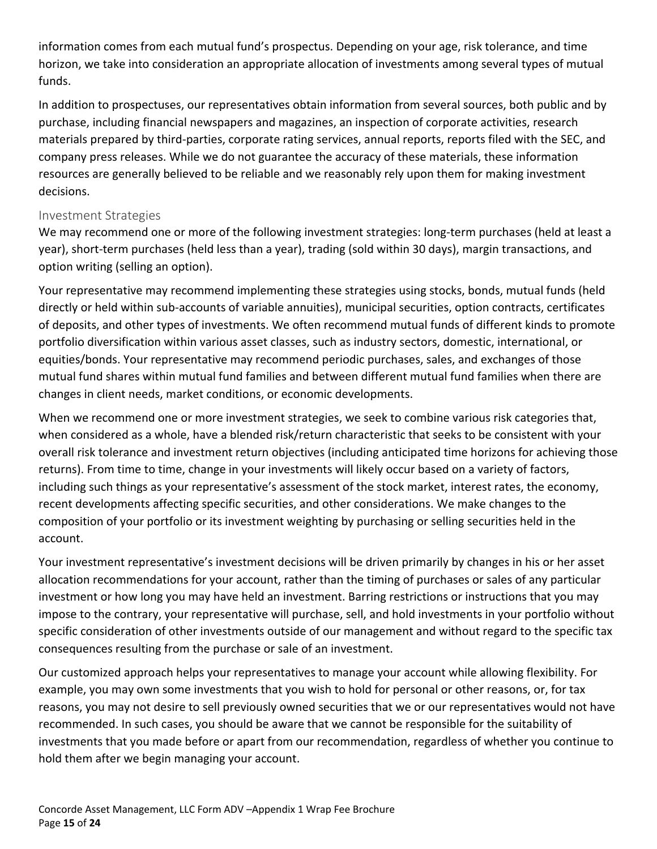information comes from each mutual fund's prospectus. Depending on your age, risk tolerance, and time horizon, we take into consideration an appropriate allocation of investments among several types of mutual funds.

In addition to prospectuses, our representatives obtain information from several sources, both public and by purchase, including financial newspapers and magazines, an inspection of corporate activities, research materials prepared by third-parties, corporate rating services, annual reports, reports filed with the SEC, and company press releases. While we do not guarantee the accuracy of these materials, these information resources are generally believed to be reliable and we reasonably rely upon them for making investment decisions.

### Investment Strategies

We may recommend one or more of the following investment strategies: long-term purchases (held at least a year), short-term purchases (held less than a year), trading (sold within 30 days), margin transactions, and option writing (selling an option).

Your representative may recommend implementing these strategies using stocks, bonds, mutual funds (held directly or held within sub-accounts of variable annuities), municipal securities, option contracts, certificates of deposits, and other types of investments. We often recommend mutual funds of different kinds to promote portfolio diversification within various asset classes, such as industry sectors, domestic, international, or equities/bonds. Your representative may recommend periodic purchases, sales, and exchanges of those mutual fund shares within mutual fund families and between different mutual fund families when there are changes in client needs, market conditions, or economic developments.

When we recommend one or more investment strategies, we seek to combine various risk categories that, when considered as a whole, have a blended risk/return characteristic that seeks to be consistent with your overall risk tolerance and investment return objectives (including anticipated time horizons for achieving those returns). From time to time, change in your investments will likely occur based on a variety of factors, including such things as your representative's assessment of the stock market, interest rates, the economy, recent developments affecting specific securities, and other considerations. We make changes to the composition of your portfolio or its investment weighting by purchasing or selling securities held in the account.

Your investment representative's investment decisions will be driven primarily by changes in his or her asset allocation recommendations for your account, rather than the timing of purchases or sales of any particular investment or how long you may have held an investment. Barring restrictions or instructions that you may impose to the contrary, your representative will purchase, sell, and hold investments in your portfolio without specific consideration of other investments outside of our management and without regard to the specific tax consequences resulting from the purchase or sale of an investment.

Our customized approach helps your representatives to manage your account while allowing flexibility. For example, you may own some investments that you wish to hold for personal or other reasons, or, for tax reasons, you may not desire to sell previously owned securities that we or our representatives would not have recommended. In such cases, you should be aware that we cannot be responsible for the suitability of investments that you made before or apart from our recommendation, regardless of whether you continue to hold them after we begin managing your account.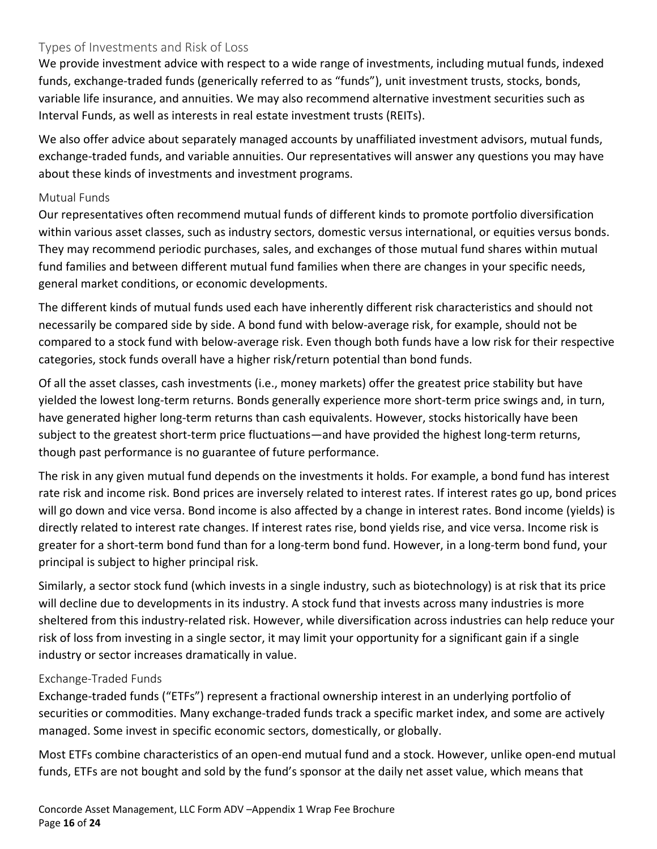## Types of Investments and Risk of Loss

We provide investment advice with respect to a wide range of investments, including mutual funds, indexed funds, exchange-traded funds (generically referred to as "funds"), unit investment trusts, stocks, bonds, variable life insurance, and annuities. We may also recommend alternative investment securities such as Interval Funds, as well as interests in real estate investment trusts (REITs).

We also offer advice about separately managed accounts by unaffiliated investment advisors, mutual funds, exchange-traded funds, and variable annuities. Our representatives will answer any questions you may have about these kinds of investments and investment programs.

#### Mutual Funds

Our representatives often recommend mutual funds of different kinds to promote portfolio diversification within various asset classes, such as industry sectors, domestic versus international, or equities versus bonds. They may recommend periodic purchases, sales, and exchanges of those mutual fund shares within mutual fund families and between different mutual fund families when there are changes in your specific needs, general market conditions, or economic developments.

The different kinds of mutual funds used each have inherently different risk characteristics and should not necessarily be compared side by side. A bond fund with below-average risk, for example, should not be compared to a stock fund with below-average risk. Even though both funds have a low risk for their respective categories, stock funds overall have a higher risk/return potential than bond funds.

Of all the asset classes, cash investments (i.e., money markets) offer the greatest price stability but have yielded the lowest long-term returns. Bonds generally experience more short-term price swings and, in turn, have generated higher long-term returns than cash equivalents. However, stocks historically have been subject to the greatest short-term price fluctuations—and have provided the highest long-term returns, though past performance is no guarantee of future performance.

The risk in any given mutual fund depends on the investments it holds. For example, a bond fund has interest rate risk and income risk. Bond prices are inversely related to interest rates. If interest rates go up, bond prices will go down and vice versa. Bond income is also affected by a change in interest rates. Bond income (yields) is directly related to interest rate changes. If interest rates rise, bond yields rise, and vice versa. Income risk is greater for a short-term bond fund than for a long-term bond fund. However, in a long-term bond fund, your principal is subject to higher principal risk.

Similarly, a sector stock fund (which invests in a single industry, such as biotechnology) is at risk that its price will decline due to developments in its industry. A stock fund that invests across many industries is more sheltered from this industry-related risk. However, while diversification across industries can help reduce your risk of loss from investing in a single sector, it may limit your opportunity for a significant gain if a single industry or sector increases dramatically in value.

#### Exchange-Traded Funds

Exchange-traded funds ("ETFs") represent a fractional ownership interest in an underlying portfolio of securities or commodities. Many exchange-traded funds track a specific market index, and some are actively managed. Some invest in specific economic sectors, domestically, or globally.

Most ETFs combine characteristics of an open-end mutual fund and a stock. However, unlike open-end mutual funds, ETFs are not bought and sold by the fund's sponsor at the daily net asset value, which means that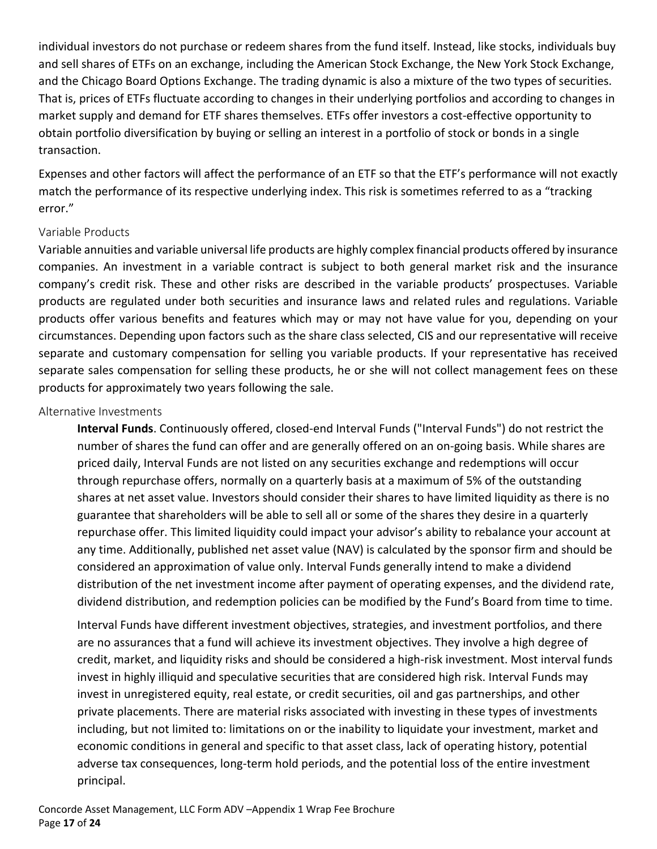individual investors do not purchase or redeem shares from the fund itself. Instead, like stocks, individuals buy and sell shares of ETFs on an exchange, including the American Stock Exchange, the New York Stock Exchange, and the Chicago Board Options Exchange. The trading dynamic is also a mixture of the two types of securities. That is, prices of ETFs fluctuate according to changes in their underlying portfolios and according to changes in market supply and demand for ETF shares themselves. ETFs offer investors a cost-effective opportunity to obtain portfolio diversification by buying or selling an interest in a portfolio of stock or bonds in a single transaction.

Expenses and other factors will affect the performance of an ETF so that the ETF's performance will not exactly match the performance of its respective underlying index. This risk is sometimes referred to as a "tracking error."

#### Variable Products

Variable annuities and variable universal life products are highly complex financial products offered by insurance companies. An investment in a variable contract is subject to both general market risk and the insurance company's credit risk. These and other risks are described in the variable products' prospectuses. Variable products are regulated under both securities and insurance laws and related rules and regulations. Variable products offer various benefits and features which may or may not have value for you, depending on your circumstances. Depending upon factors such as the share class selected, CIS and our representative will receive separate and customary compensation for selling you variable products. If your representative has received separate sales compensation for selling these products, he or she will not collect management fees on these products for approximately two years following the sale.

#### Alternative Investments

**Interval Funds**. Continuously offered, closed-end Interval Funds ("Interval Funds") do not restrict the number of shares the fund can offer and are generally offered on an on-going basis. While shares are priced daily, Interval Funds are not listed on any securities exchange and redemptions will occur through repurchase offers, normally on a quarterly basis at a maximum of 5% of the outstanding shares at net asset value. Investors should consider their shares to have limited liquidity as there is no guarantee that shareholders will be able to sell all or some of the shares they desire in a quarterly repurchase offer. This limited liquidity could impact your advisor's ability to rebalance your account at any time. Additionally, published net asset value (NAV) is calculated by the sponsor firm and should be considered an approximation of value only. Interval Funds generally intend to make a dividend distribution of the net investment income after payment of operating expenses, and the dividend rate, dividend distribution, and redemption policies can be modified by the Fund's Board from time to time.

Interval Funds have different investment objectives, strategies, and investment portfolios, and there are no assurances that a fund will achieve its investment objectives. They involve a high degree of credit, market, and liquidity risks and should be considered a high-risk investment. Most interval funds invest in highly illiquid and speculative securities that are considered high risk. Interval Funds may invest in unregistered equity, real estate, or credit securities, oil and gas partnerships, and other private placements. There are material risks associated with investing in these types of investments including, but not limited to: limitations on or the inability to liquidate your investment, market and economic conditions in general and specific to that asset class, lack of operating history, potential adverse tax consequences, long-term hold periods, and the potential loss of the entire investment principal.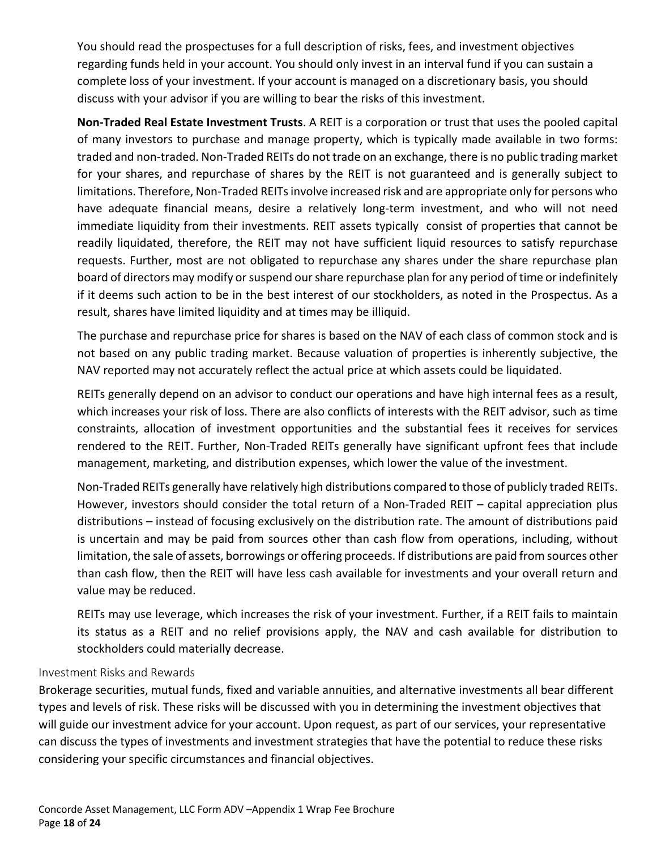You should read the prospectuses for a full description of risks, fees, and investment objectives regarding funds held in your account. You should only invest in an interval fund if you can sustain a complete loss of your investment. If your account is managed on a discretionary basis, you should discuss with your advisor if you are willing to bear the risks of this investment.

**Non-Traded Real Estate Investment Trusts**. A REIT is a corporation or trust that uses the pooled capital of many investors to purchase and manage property, which is typically made available in two forms: traded and non-traded. Non-Traded REITs do not trade on an exchange, there is no public trading market for your shares, and repurchase of shares by the REIT is not guaranteed and is generally subject to limitations. Therefore, Non-Traded REITs involve increased risk and are appropriate only for persons who have adequate financial means, desire a relatively long-term investment, and who will not need immediate liquidity from their investments. REIT assets typically consist of properties that cannot be readily liquidated, therefore, the REIT may not have sufficient liquid resources to satisfy repurchase requests. Further, most are not obligated to repurchase any shares under the share repurchase plan board of directors may modify or suspend our share repurchase plan for any period of time or indefinitely if it deems such action to be in the best interest of our stockholders, as noted in the Prospectus. As a result, shares have limited liquidity and at times may be illiquid.

The purchase and repurchase price for shares is based on the NAV of each class of common stock and is not based on any public trading market. Because valuation of properties is inherently subjective, the NAV reported may not accurately reflect the actual price at which assets could be liquidated.

REITs generally depend on an advisor to conduct our operations and have high internal fees as a result, which increases your risk of loss. There are also conflicts of interests with the REIT advisor, such as time constraints, allocation of investment opportunities and the substantial fees it receives for services rendered to the REIT. Further, Non-Traded REITs generally have significant upfront fees that include management, marketing, and distribution expenses, which lower the value of the investment.

Non-Traded REITs generally have relatively high distributions compared to those of publicly traded REITs. However, investors should consider the total return of a Non-Traded REIT – capital appreciation plus distributions – instead of focusing exclusively on the distribution rate. The amount of distributions paid is uncertain and may be paid from sources other than cash flow from operations, including, without limitation, the sale of assets, borrowings or offering proceeds. If distributions are paid from sources other than cash flow, then the REIT will have less cash available for investments and your overall return and value may be reduced.

REITs may use leverage, which increases the risk of your investment. Further, if a REIT fails to maintain its status as a REIT and no relief provisions apply, the NAV and cash available for distribution to stockholders could materially decrease.

#### Investment Risks and Rewards

Brokerage securities, mutual funds, fixed and variable annuities, and alternative investments all bear different types and levels of risk. These risks will be discussed with you in determining the investment objectives that will guide our investment advice for your account. Upon request, as part of our services, your representative can discuss the types of investments and investment strategies that have the potential to reduce these risks considering your specific circumstances and financial objectives.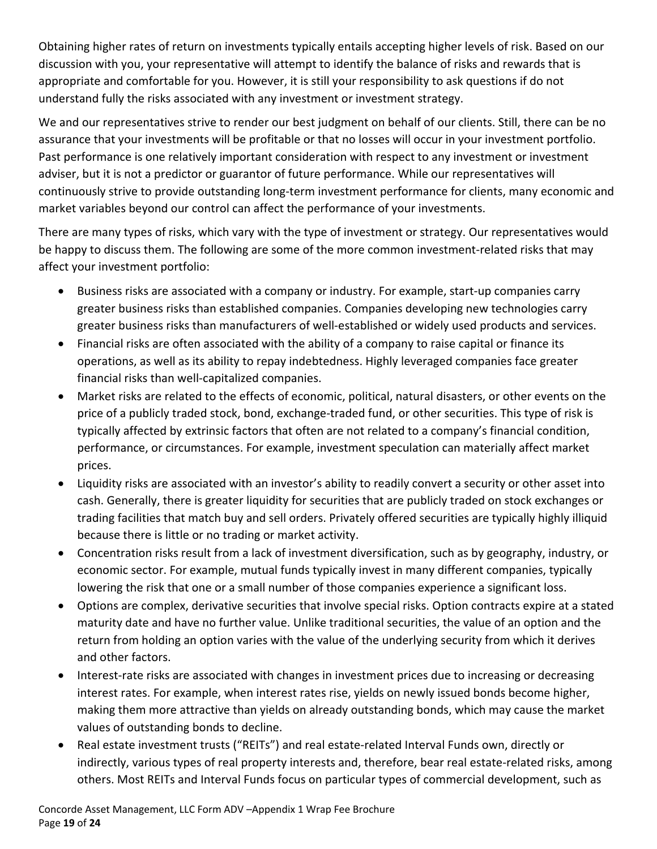Obtaining higher rates of return on investments typically entails accepting higher levels of risk. Based on our discussion with you, your representative will attempt to identify the balance of risks and rewards that is appropriate and comfortable for you. However, it is still your responsibility to ask questions if do not understand fully the risks associated with any investment or investment strategy.

We and our representatives strive to render our best judgment on behalf of our clients. Still, there can be no assurance that your investments will be profitable or that no losses will occur in your investment portfolio. Past performance is one relatively important consideration with respect to any investment or investment adviser, but it is not a predictor or guarantor of future performance. While our representatives will continuously strive to provide outstanding long-term investment performance for clients, many economic and market variables beyond our control can affect the performance of your investments.

There are many types of risks, which vary with the type of investment or strategy. Our representatives would be happy to discuss them. The following are some of the more common investment-related risks that may affect your investment portfolio:

- Business risks are associated with a company or industry. For example, start-up companies carry greater business risks than established companies. Companies developing new technologies carry greater business risks than manufacturers of well-established or widely used products and services.
- Financial risks are often associated with the ability of a company to raise capital or finance its operations, as well as its ability to repay indebtedness. Highly leveraged companies face greater financial risks than well-capitalized companies.
- Market risks are related to the effects of economic, political, natural disasters, or other events on the price of a publicly traded stock, bond, exchange-traded fund, or other securities. This type of risk is typically affected by extrinsic factors that often are not related to a company's financial condition, performance, or circumstances. For example, investment speculation can materially affect market prices.
- Liquidity risks are associated with an investor's ability to readily convert a security or other asset into cash. Generally, there is greater liquidity for securities that are publicly traded on stock exchanges or trading facilities that match buy and sell orders. Privately offered securities are typically highly illiquid because there is little or no trading or market activity.
- Concentration risks result from a lack of investment diversification, such as by geography, industry, or economic sector. For example, mutual funds typically invest in many different companies, typically lowering the risk that one or a small number of those companies experience a significant loss.
- Options are complex, derivative securities that involve special risks. Option contracts expire at a stated maturity date and have no further value. Unlike traditional securities, the value of an option and the return from holding an option varies with the value of the underlying security from which it derives and other factors.
- Interest-rate risks are associated with changes in investment prices due to increasing or decreasing interest rates. For example, when interest rates rise, yields on newly issued bonds become higher, making them more attractive than yields on already outstanding bonds, which may cause the market values of outstanding bonds to decline.
- Real estate investment trusts ("REITs") and real estate-related Interval Funds own, directly or indirectly, various types of real property interests and, therefore, bear real estate-related risks, among others. Most REITs and Interval Funds focus on particular types of commercial development, such as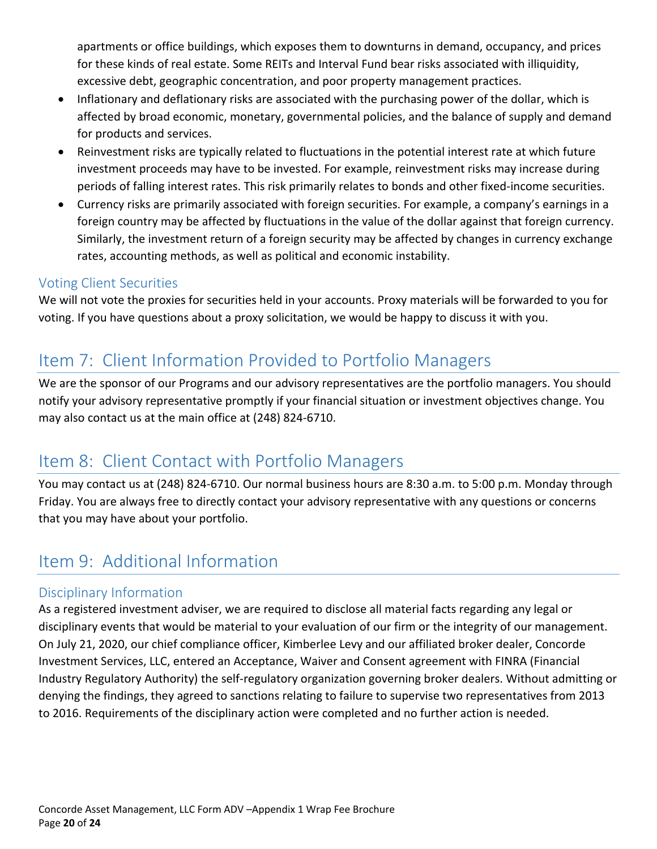apartments or office buildings, which exposes them to downturns in demand, occupancy, and prices for these kinds of real estate. Some REITs and Interval Fund bear risks associated with illiquidity, excessive debt, geographic concentration, and poor property management practices.

- Inflationary and deflationary risks are associated with the purchasing power of the dollar, which is affected by broad economic, monetary, governmental policies, and the balance of supply and demand for products and services.
- Reinvestment risks are typically related to fluctuations in the potential interest rate at which future investment proceeds may have to be invested. For example, reinvestment risks may increase during periods of falling interest rates. This risk primarily relates to bonds and other fixed-income securities.
- Currency risks are primarily associated with foreign securities. For example, a company's earnings in a foreign country may be affected by fluctuations in the value of the dollar against that foreign currency. Similarly, the investment return of a foreign security may be affected by changes in currency exchange rates, accounting methods, as well as political and economic instability.

# <span id="page-19-0"></span>Voting Client Securities

We will not vote the proxies for securities held in your accounts. Proxy materials will be forwarded to you for voting. If you have questions about a proxy solicitation, we would be happy to discuss it with you.

# <span id="page-19-1"></span>Item 7: Client Information Provided to Portfolio Managers

We are the sponsor of our Programs and our advisory representatives are the portfolio managers. You should notify your advisory representative promptly if your financial situation or investment objectives change. You may also contact us at the main office at (248) 824-6710.

# <span id="page-19-2"></span>Item 8: Client Contact with Portfolio Managers

You may contact us at (248) 824-6710. Our normal business hours are 8:30 a.m. to 5:00 p.m. Monday through Friday. You are always free to directly contact your advisory representative with any questions or concerns that you may have about your portfolio.

# <span id="page-19-3"></span>Item 9: Additional Information

# <span id="page-19-4"></span>Disciplinary Information

As a registered investment adviser, we are required to disclose all material facts regarding any legal or disciplinary events that would be material to your evaluation of our firm or the integrity of our management. On July 21, 2020, our chief compliance officer, Kimberlee Levy and our affiliated broker dealer, Concorde Investment Services, LLC, entered an Acceptance, Waiver and Consent agreement with FINRA (Financial Industry Regulatory Authority) the self-regulatory organization governing broker dealers. Without admitting or denying the findings, they agreed to sanctions relating to failure to supervise two representatives from 2013 to 2016. Requirements of the disciplinary action were completed and no further action is needed.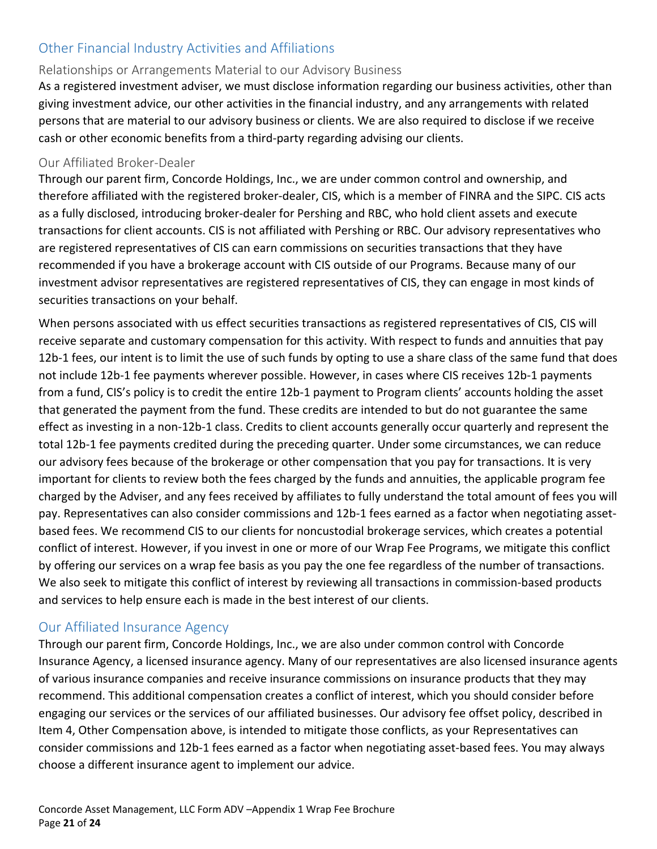# <span id="page-20-0"></span>Other Financial Industry Activities and Affiliations

### Relationships or Arrangements Material to our Advisory Business

As a registered investment adviser, we must disclose information regarding our business activities, other than giving investment advice, our other activities in the financial industry, and any arrangements with related persons that are material to our advisory business or clients. We are also required to disclose if we receive cash or other economic benefits from a third-party regarding advising our clients.

#### Our Affiliated Broker-Dealer

Through our parent firm, Concorde Holdings, Inc., we are under common control and ownership, and therefore affiliated with the registered broker-dealer, CIS, which is a member of FINRA and the SIPC. CIS acts as a fully disclosed, introducing broker-dealer for Pershing and RBC, who hold client assets and execute transactions for client accounts. CIS is not affiliated with Pershing or RBC. Our advisory representatives who are registered representatives of CIS can earn commissions on securities transactions that they have recommended if you have a brokerage account with CIS outside of our Programs. Because many of our investment advisor representatives are registered representatives of CIS, they can engage in most kinds of securities transactions on your behalf.

When persons associated with us effect securities transactions as registered representatives of CIS, CIS will receive separate and customary compensation for this activity. With respect to funds and annuities that pay 12b-1 fees, our intent is to limit the use of such funds by opting to use a share class of the same fund that does not include 12b-1 fee payments wherever possible. However, in cases where CIS receives 12b-1 payments from a fund, CIS's policy is to credit the entire 12b-1 payment to Program clients' accounts holding the asset that generated the payment from the fund. These credits are intended to but do not guarantee the same effect as investing in a non-12b-1 class. Credits to client accounts generally occur quarterly and represent the total 12b-1 fee payments credited during the preceding quarter. Under some circumstances, we can reduce our advisory fees because of the brokerage or other compensation that you pay for transactions. It is very important for clients to review both the fees charged by the funds and annuities, the applicable program fee charged by the Adviser, and any fees received by affiliates to fully understand the total amount of fees you will pay. Representatives can also consider commissions and 12b-1 fees earned as a factor when negotiating assetbased fees. We recommend CIS to our clients for noncustodial brokerage services, which creates a potential conflict of interest. However, if you invest in one or more of our Wrap Fee Programs, we mitigate this conflict by offering our services on a wrap fee basis as you pay the one fee regardless of the number of transactions. We also seek to mitigate this conflict of interest by reviewing all transactions in commission-based products and services to help ensure each is made in the best interest of our clients.

# <span id="page-20-1"></span>Our Affiliated Insurance Agency

Through our parent firm, Concorde Holdings, Inc., we are also under common control with Concorde Insurance Agency, a licensed insurance agency. Many of our representatives are also licensed insurance agents of various insurance companies and receive insurance commissions on insurance products that they may recommend. This additional compensation creates a conflict of interest, which you should consider before engaging our services or the services of our affiliated businesses. Our advisory fee offset policy, described in Item 4, Other Compensation above, is intended to mitigate those conflicts, as your Representatives can consider commissions and 12b-1 fees earned as a factor when negotiating asset-based fees. You may always choose a different insurance agent to implement our advice.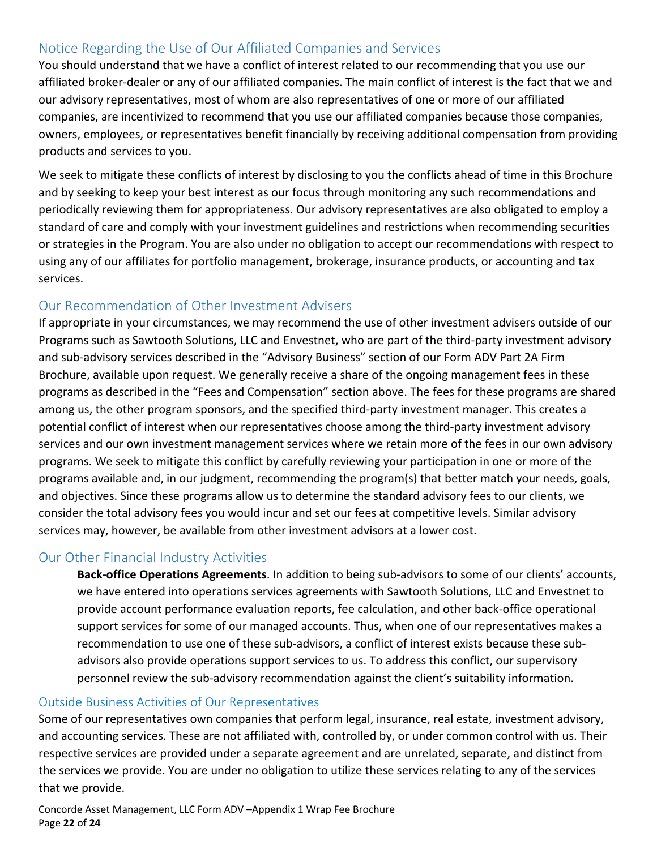# <span id="page-21-0"></span>Notice Regarding the Use of Our Affiliated Companies and Services

You should understand that we have a conflict of interest related to our recommending that you use our affiliated broker-dealer or any of our affiliated companies. The main conflict of interest is the fact that we and our advisory representatives, most of whom are also representatives of one or more of our affiliated companies, are incentivized to recommend that you use our affiliated companies because those companies, owners, employees, or representatives benefit financially by receiving additional compensation from providing products and services to you.

We seek to mitigate these conflicts of interest by disclosing to you the conflicts ahead of time in this Brochure and by seeking to keep your best interest as our focus through monitoring any such recommendations and periodically reviewing them for appropriateness. Our advisory representatives are also obligated to employ a standard of care and comply with your investment guidelines and restrictions when recommending securities or strategies in the Program. You are also under no obligation to accept our recommendations with respect to using any of our affiliates for portfolio management, brokerage, insurance products, or accounting and tax services.

# <span id="page-21-1"></span>Our Recommendation of Other Investment Advisers

If appropriate in your circumstances, we may recommend the use of other investment advisers outside of our Programs such as Sawtooth Solutions, LLC and Envestnet, who are part of the third-party investment advisory and sub-advisory services described in the "Advisory Business" section of our Form ADV Part 2A Firm Brochure, available upon request. We generally receive a share of the ongoing management fees in these programs as described in the "Fees and Compensation" section above. The fees for these programs are shared among us, the other program sponsors, and the specified third-party investment manager. This creates a potential conflict of interest when our representatives choose among the third-party investment advisory services and our own investment management services where we retain more of the fees in our own advisory programs. We seek to mitigate this conflict by carefully reviewing your participation in one or more of the programs available and, in our judgment, recommending the program(s) that better match your needs, goals, and objectives. Since these programs allow us to determine the standard advisory fees to our clients, we consider the total advisory fees you would incur and set our fees at competitive levels. Similar advisory services may, however, be available from other investment advisors at a lower cost.

#### <span id="page-21-2"></span>Our Other Financial Industry Activities

**Back-office Operations Agreements**. In addition to being sub-advisors to some of our clients' accounts, we have entered into operations services agreements with Sawtooth Solutions, LLC and Envestnet to provide account performance evaluation reports, fee calculation, and other back-office operational support services for some of our managed accounts. Thus, when one of our representatives makes a recommendation to use one of these sub-advisors, a conflict of interest exists because these subadvisors also provide operations support services to us. To address this conflict, our supervisory personnel review the sub-advisory recommendation against the client's suitability information.

#### Outside Business Activities of Our Representatives

Some of our representatives own companies that perform legal, insurance, real estate, investment advisory, and accounting services. These are not affiliated with, controlled by, or under common control with us. Their respective services are provided under a separate agreement and are unrelated, separate, and distinct from the services we provide. You are under no obligation to utilize these services relating to any of the services that we provide.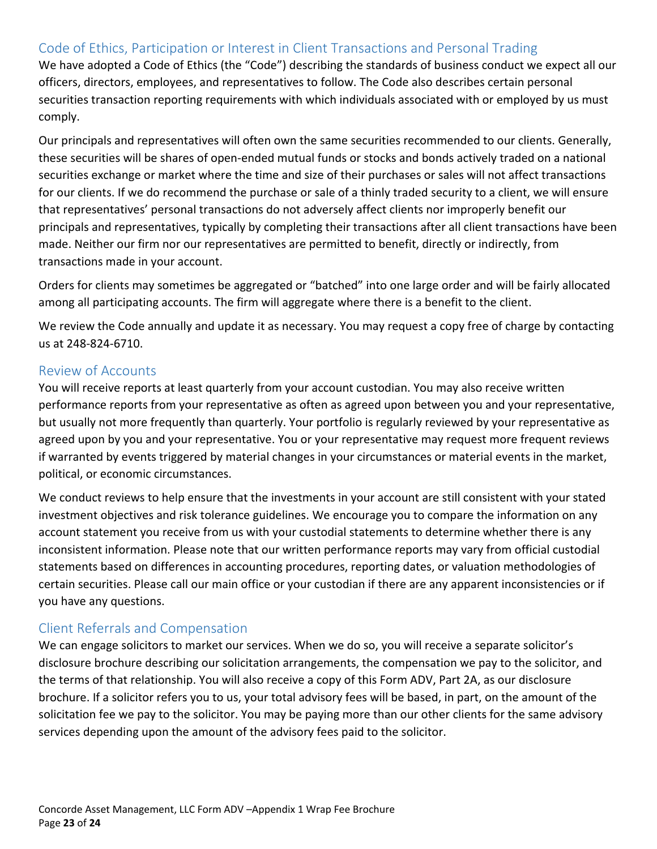# <span id="page-22-0"></span>Code of Ethics, Participation or Interest in Client Transactions and Personal Trading

We have adopted a Code of Ethics (the "Code") describing the standards of business conduct we expect all our officers, directors, employees, and representatives to follow. The Code also describes certain personal securities transaction reporting requirements with which individuals associated with or employed by us must comply.

Our principals and representatives will often own the same securities recommended to our clients. Generally, these securities will be shares of open-ended mutual funds or stocks and bonds actively traded on a national securities exchange or market where the time and size of their purchases or sales will not affect transactions for our clients. If we do recommend the purchase or sale of a thinly traded security to a client, we will ensure that representatives' personal transactions do not adversely affect clients nor improperly benefit our principals and representatives, typically by completing their transactions after all client transactions have been made. Neither our firm nor our representatives are permitted to benefit, directly or indirectly, from transactions made in your account.

Orders for clients may sometimes be aggregated or "batched" into one large order and will be fairly allocated among all participating accounts. The firm will aggregate where there is a benefit to the client.

We review the Code annually and update it as necessary. You may request a copy free of charge by contacting us at 248-824-6710.

# <span id="page-22-1"></span>Review of Accounts

You will receive reports at least quarterly from your account custodian. You may also receive written performance reports from your representative as often as agreed upon between you and your representative, but usually not more frequently than quarterly. Your portfolio is regularly reviewed by your representative as agreed upon by you and your representative. You or your representative may request more frequent reviews if warranted by events triggered by material changes in your circumstances or material events in the market, political, or economic circumstances.

We conduct reviews to help ensure that the investments in your account are still consistent with your stated investment objectives and risk tolerance guidelines. We encourage you to compare the information on any account statement you receive from us with your custodial statements to determine whether there is any inconsistent information. Please note that our written performance reports may vary from official custodial statements based on differences in accounting procedures, reporting dates, or valuation methodologies of certain securities. Please call our main office or your custodian if there are any apparent inconsistencies or if you have any questions.

# <span id="page-22-2"></span>Client Referrals and Compensation

We can engage solicitors to market our services. When we do so, you will receive a separate solicitor's disclosure brochure describing our solicitation arrangements, the compensation we pay to the solicitor, and the terms of that relationship. You will also receive a copy of this Form ADV, Part 2A, as our disclosure brochure. If a solicitor refers you to us, your total advisory fees will be based, in part, on the amount of the solicitation fee we pay to the solicitor. You may be paying more than our other clients for the same advisory services depending upon the amount of the advisory fees paid to the solicitor.